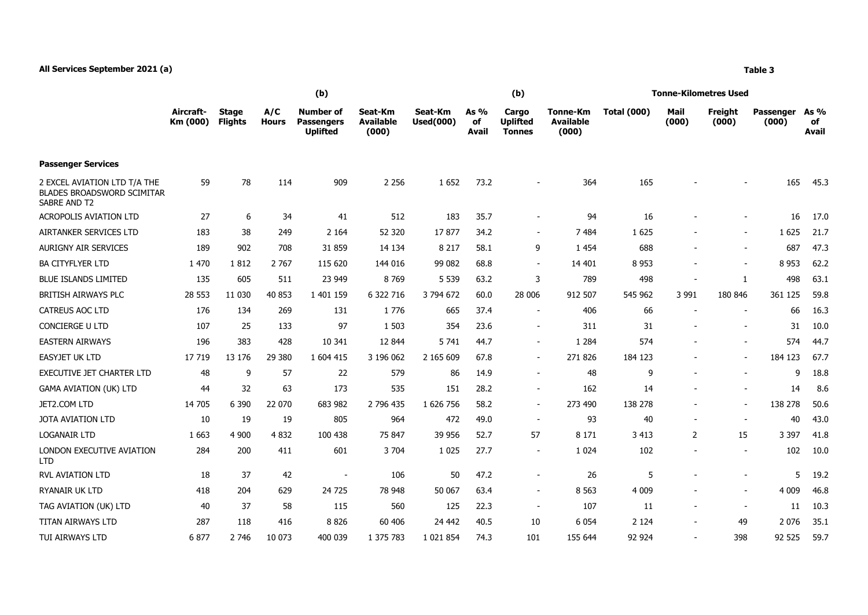## **All Services September 2021 (a) Table 3**

**Aircraft-Km (000)**

**Stage Flights**

|                     | (b)                                               |                                      |                                               |  | (b)                                |                                       | <b>Tonne-Kilometres Used</b> |               |                         |  |  |  |
|---------------------|---------------------------------------------------|--------------------------------------|-----------------------------------------------|--|------------------------------------|---------------------------------------|------------------------------|---------------|-------------------------|--|--|--|
| A/C<br><b>Hours</b> | Number of<br><b>Passengers</b><br><b>Uplifted</b> | Seat-Km<br><b>Available</b><br>(000) | As $%$<br>Seat-Km<br>of<br>Used(000)<br>Avail |  | Cargo<br><b>Uplifted</b><br>Tonnes | Tonne-Km<br><b>Available</b><br>(000) | <b>Total (000)</b>           | Mail<br>(000) | <b>Freight</b><br>(000) |  |  |  |

| <b>Passenger Services</b>                                                         |         |         |         |                          |           |               |      |                          |         |         |                          |              |         |      |
|-----------------------------------------------------------------------------------|---------|---------|---------|--------------------------|-----------|---------------|------|--------------------------|---------|---------|--------------------------|--------------|---------|------|
| 2 EXCEL AVIATION LTD T/A THE<br><b>BLADES BROADSWORD SCIMITAR</b><br>SABRE AND T2 | 59      | 78      | 114     | 909                      | 2 2 5 6   | 1652          | 73.2 |                          | 364     | 165     |                          |              | 165     | 45.3 |
| <b>ACROPOLIS AVIATION LTD</b>                                                     | 27      | 6       | 34      | 41                       | 512       | 183           | 35.7 | $\sim$                   | 94      | 16      |                          |              | 16      | 17.0 |
| AIRTANKER SERVICES LTD                                                            | 183     | 38      | 249     | 2 1 6 4                  | 52 320    | 17877         | 34.2 | $\sim$                   | 7 4 8 4 | 1 6 2 5 |                          | $\sim$       | 1625    | 21.7 |
| AURIGNY AIR SERVICES                                                              | 189     | 902     | 708     | 31 859                   | 14 134    | 8 2 1 7       | 58.1 | 9                        | 1 4 5 4 | 688     |                          |              | 687     | 47.3 |
| <b>BA CITYFLYER LTD</b>                                                           | 1 470   | 1812    | 2 7 6 7 | 115 620                  | 144 016   | 99 082        | 68.8 | $\sim$                   | 14 401  | 8 9 5 3 |                          |              | 8 9 5 3 | 62.2 |
| <b>BLUE ISLANDS LIMITED</b>                                                       | 135     | 605     | 511     | 23 949                   | 8769      | 5 5 3 9       | 63.2 | 3                        | 789     | 498     | $\overline{\phantom{a}}$ | $\mathbf{1}$ | 498     | 63.1 |
| BRITISH AIRWAYS PLC                                                               | 28 5 53 | 11 0 30 | 40 853  | 1 401 159                | 6 322 716 | 3 794 672     | 60.0 | 28 006                   | 912 507 | 545 962 | 3 9 9 1                  | 180 846      | 361 125 | 59.8 |
| <b>CATREUS AOC LTD</b>                                                            | 176     | 134     | 269     | 131                      | 1776      | 665           | 37.4 | $\blacksquare$           | 406     | 66      |                          |              | 66      | 16.3 |
| <b>CONCIERGE U LTD</b>                                                            | 107     | 25      | 133     | 97                       | 1 503     | 354           | 23.6 | $\blacksquare$           | 311     | 31      |                          |              | 31      | 10.0 |
| <b>EASTERN AIRWAYS</b>                                                            | 196     | 383     | 428     | 10 341                   | 12 844    | 5 7 4 1       | 44.7 | $\blacksquare$           | 1 2 8 4 | 574     |                          |              | 574     | 44.7 |
| EASYJET UK LTD                                                                    | 17 7 19 | 13 176  | 29 380  | 1 604 415                | 3 196 062 | 2 165 609     | 67.8 | $\sim$                   | 271 826 | 184 123 |                          |              | 184 123 | 67.7 |
| <b>EXECUTIVE JET CHARTER LTD</b>                                                  | 48      | 9       | 57      | 22                       | 579       | 86            | 14.9 | $\sim$                   | 48      | 9       |                          |              | 9       | 18.8 |
| <b>GAMA AVIATION (UK) LTD</b>                                                     | 44      | 32      | 63      | 173                      | 535       | 151           | 28.2 | $\sim$                   | 162     | 14      |                          |              | 14      | 8.6  |
| JET2.COM LTD                                                                      | 14 705  | 6 3 9 0 | 22 070  | 683 982                  | 2 796 435 | 1 626 756     | 58.2 | $\sim$                   | 273 490 | 138 278 | $\overline{\phantom{a}}$ |              | 138 278 | 50.6 |
| <b>JOTA AVIATION LTD</b>                                                          | 10      | 19      | 19      | 805                      | 964       | 472           | 49.0 | $\sim$                   | 93      | 40      | $\overline{\phantom{a}}$ | $\sim$       | 40      | 43.0 |
| <b>LOGANAIR LTD</b>                                                               | 1 6 6 3 | 4 9 0 0 | 4 8 32  | 100 438                  | 75 847    | 39 956        | 52.7 | 57                       | 8 1 7 1 | 3 4 1 3 | 2                        | 15           | 3 3 9 7 | 41.8 |
| LONDON EXECUTIVE AVIATION<br><b>LTD</b>                                           | 284     | 200     | 411     | 601                      | 3 7 0 4   | 1 0 2 5       | 27.7 | $\sim$                   | 1 0 2 4 | 102     |                          |              | 102     | 10.0 |
| <b>RVL AVIATION LTD</b>                                                           | 18      | 37      | 42      | $\overline{\phantom{a}}$ | 106       | 50            | 47.2 | $\overline{\phantom{a}}$ | 26      | 5       |                          |              | 5       | 19.2 |
| <b>RYANAIR UK LTD</b>                                                             | 418     | 204     | 629     | 24 725                   | 78 948    | 50 067        | 63.4 | $\overline{\phantom{a}}$ | 8 5 6 3 | 4 0 0 9 |                          |              | 4 0 0 9 | 46.8 |
| TAG AVIATION (UK) LTD                                                             | 40      | 37      | 58      | 115                      | 560       | 125           | 22.3 | $\sim$                   | 107     | 11      | $\overline{\phantom{a}}$ | $\sim$       | 11      | 10.3 |
| <b>TITAN AIRWAYS LTD</b>                                                          | 287     | 118     | 416     | 8826                     | 60 40 6   | 24 4 42       | 40.5 | 10                       | 6 0 5 4 | 2 1 2 4 | $\overline{\phantom{a}}$ | 49           | 2076    | 35.1 |
| <b>TUI AIRWAYS LTD</b>                                                            | 6877    | 2 7 4 6 | 10 073  | 400 039                  | 1 375 783 | 1 0 2 1 8 5 4 | 74.3 | 101                      | 155 644 | 92 924  | $\blacksquare$           | 398          | 92 525  | 59.7 |

**Passenger (000)**

**As % of Avail**